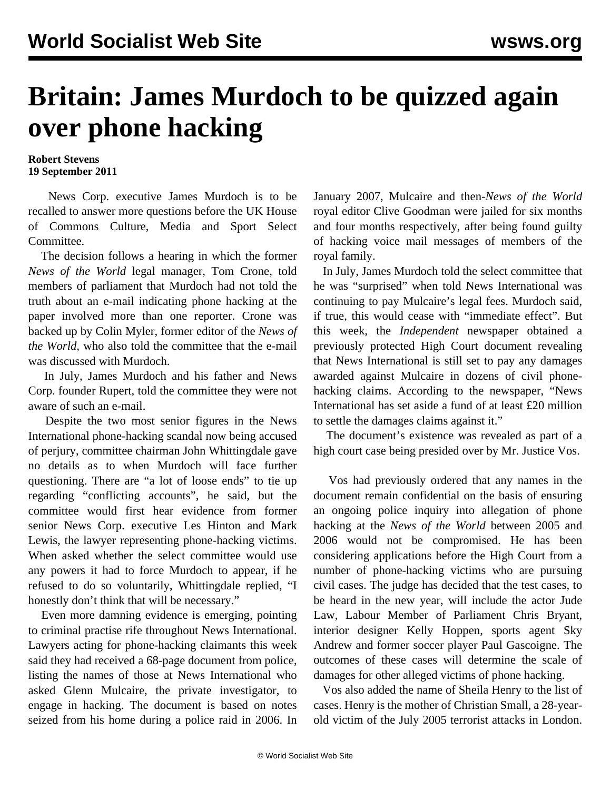## **Britain: James Murdoch to be quizzed again over phone hacking**

## **Robert Stevens 19 September 2011**

 News Corp. executive James Murdoch is to be recalled to answer more questions before the UK House of Commons Culture, Media and Sport Select Committee.

 The decision follows a hearing in which the former *News of the World* legal manager, Tom Crone, told members of parliament that Murdoch had not told the truth about an e-mail indicating phone hacking at the paper involved more than one reporter. Crone was backed up by Colin Myler, former editor of the *News of the World,* who also told the committee that the e-mail was discussed with Murdoch.

 In July, James Murdoch and his father and News Corp. founder Rupert, told the committee they were not aware of such an e-mail.

 Despite the two most senior figures in the News International phone-hacking scandal now being accused of perjury, committee chairman John Whittingdale gave no details as to when Murdoch will face further questioning. There are "a lot of loose ends" to tie up regarding "conflicting accounts", he said, but the committee would first hear evidence from former senior News Corp. executive Les Hinton and Mark Lewis, the lawyer representing phone-hacking victims. When asked whether the select committee would use any powers it had to force Murdoch to appear, if he refused to do so voluntarily, Whittingdale replied, "I honestly don't think that will be necessary."

 Even more damning evidence is emerging, pointing to criminal practise rife throughout News International. Lawyers acting for phone-hacking claimants this week said they had received a 68-page document from police, listing the names of those at News International who asked Glenn Mulcaire, the private investigator, to engage in hacking. The document is based on notes seized from his home during a police raid in 2006. In January 2007, Mulcaire and then-*News of the World* royal editor Clive Goodman were jailed for six months and four months respectively, after being found guilty of hacking voice mail messages of members of the royal family.

 In July, James Murdoch told the select committee that he was "surprised" when told News International was continuing to pay Mulcaire's legal fees. Murdoch said, if true, this would cease with "immediate effect". But this week, the *Independent* newspaper obtained a previously protected High Court document revealing that News International is still set to pay any damages awarded against Mulcaire in dozens of civil phonehacking claims. According to the newspaper, "News International has set aside a fund of at least £20 million to settle the damages claims against it."

 The document's existence was revealed as part of a high court case being presided over by Mr. Justice Vos.

 Vos had previously ordered that any names in the document remain confidential on the basis of ensuring an ongoing police inquiry into allegation of phone hacking at the *News of the World* between 2005 and 2006 would not be compromised. He has been considering applications before the High Court from a number of phone-hacking victims who are pursuing civil cases. The judge has decided that the test cases, to be heard in the new year, will include the actor Jude Law, Labour Member of Parliament Chris Bryant, interior designer Kelly Hoppen, sports agent Sky Andrew and former soccer player Paul Gascoigne. The outcomes of these cases will determine the scale of damages for other alleged victims of phone hacking.

 Vos also added the name of Sheila Henry to the list of cases. Henry is the mother of Christian Small, a 28-yearold victim of the July 2005 terrorist attacks in London.